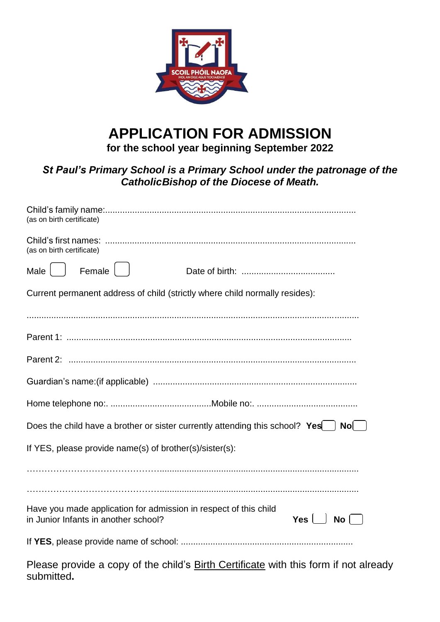

# **APPLICATION FOR ADMISSION**

**for the school year beginning September 2022**

### *St Paul's Primary School is a Primary School under the patronage of the CatholicBishop of the Diocese of Meath.*

| (as on birth certificate)                                                                                                                     |
|-----------------------------------------------------------------------------------------------------------------------------------------------|
| (as on birth certificate)                                                                                                                     |
| Female<br>Male                                                                                                                                |
| Current permanent address of child (strictly where child normally resides):                                                                   |
|                                                                                                                                               |
|                                                                                                                                               |
|                                                                                                                                               |
|                                                                                                                                               |
|                                                                                                                                               |
| Does the child have a brother or sister currently attending this school? $Yes$<br>Nol                                                         |
| If YES, please provide name(s) of brother(s)/sister(s):                                                                                       |
|                                                                                                                                               |
| Have you made application for admission in respect of this child<br>in Junior Infants in another school?<br>$Yes \mid \cdot$<br>$\mathsf{No}$ |
|                                                                                                                                               |

Please provide a copy of the child's **Birth Certificate** with this form if not already submitted**.**